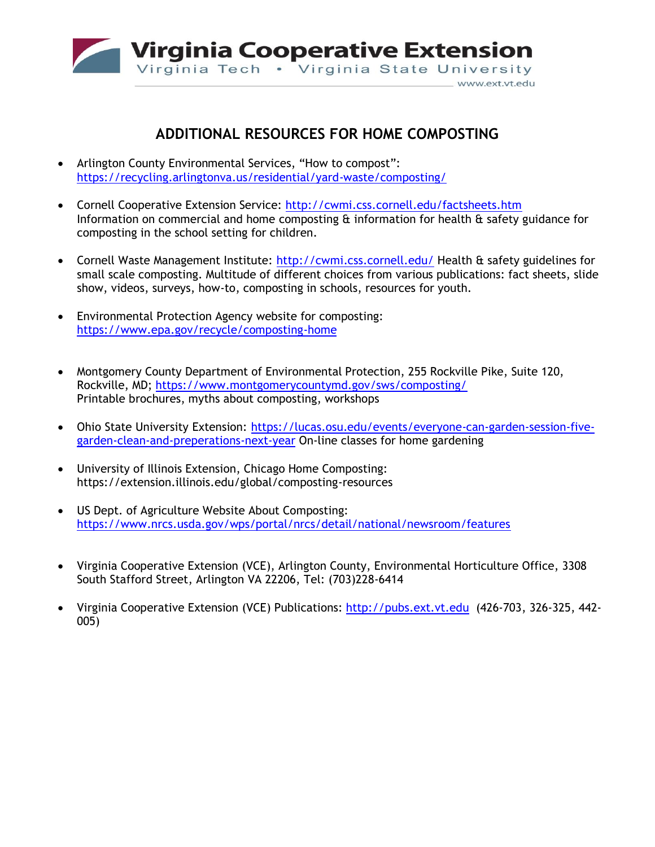

## **ADDITIONAL RESOURCES FOR HOME COMPOSTING**

- Arlington County Environmental Services, "How to compost": <https://recycling.arlingtonva.us/residential/yard-waste/composting/>
- Cornell Cooperative Extension Service:<http://cwmi.css.cornell.edu/factsheets.htm> Information on commercial and home composting & information for health & safety guidance for composting in the school setting for children.
- Cornell Waste Management Institute:<http://cwmi.css.cornell.edu/> Health & safety guidelines for small scale composting. Multitude of different choices from various publications: fact sheets, slide show, videos, surveys, how-to, composting in schools, resources for youth.
- Environmental Protection Agency website for composting: <https://www.epa.gov/recycle/composting-home>
- Montgomery County Department of Environmental Protection, 255 Rockville Pike, Suite 120, Rockville, MD; <https://www.montgomerycountymd.gov/sws/composting/> Printable brochures, myths about composting, workshops
- Ohio State University Extension: [https://lucas.osu.edu/events/everyone-can-garden-session-five](https://lucas.osu.edu/events/everyone-can-garden-session-five-garden-clean-and-preperations-next-year)[garden-clean-and-preperations-next-year](https://lucas.osu.edu/events/everyone-can-garden-session-five-garden-clean-and-preperations-next-year) On-line classes for home gardening
- University of Illinois Extension, Chicago Home Composting: https://extension.illinois.edu/global/composting-resources
- US Dept. of Agriculture Website About Composting: <https://www.nrcs.usda.gov/wps/portal/nrcs/detail/national/newsroom/features>
- Virginia Cooperative Extension (VCE), Arlington County, Environmental Horticulture Office, 3308 South Stafford Street, Arlington VA 22206, Tel: (703)228-6414
- Virginia Cooperative Extension (VCE) Publications: [http://pubs.ext.vt.edu](http://pubs.ext.vt.edu/) (426-703, 326-325, 442- 005)